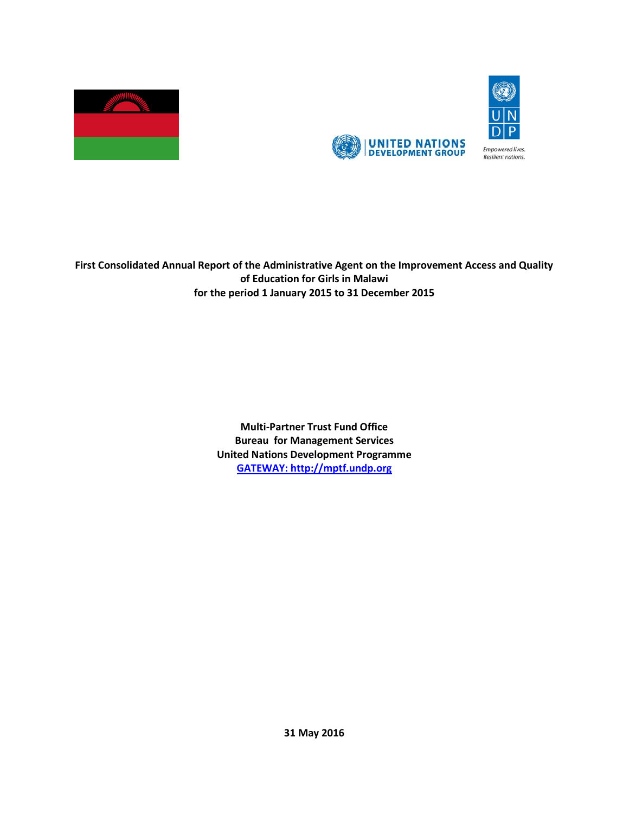



**First Consolidated Annual Report of the Administrative Agent on the Improvement Access and Quality of Education for Girls in Malawi for the period 1 January 2015 to 31 December 2015**

> **Multi-Partner Trust Fund Office Bureau for Management Services United Nations Development Programme [GATEWAY: http://mptf.undp.org](http://mptf.undp.org/)**

> > **31 May 2016**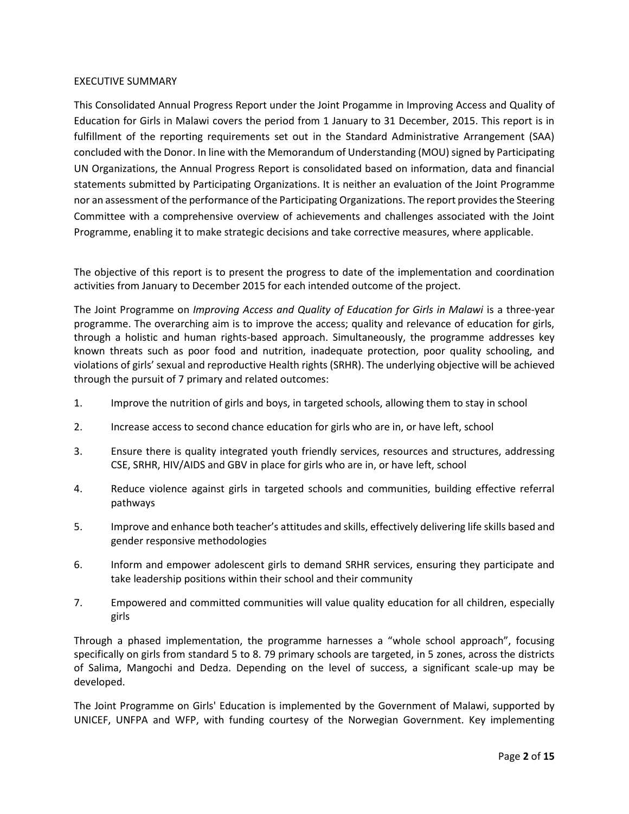### EXECUTIVE SUMMARY

This Consolidated Annual Progress Report under the Joint Progamme in Improving Access and Quality of Education for Girls in Malawi covers the period from 1 January to 31 December, 2015. This report is in fulfillment of the reporting requirements set out in the Standard Administrative Arrangement (SAA) concluded with the Donor. In line with the Memorandum of Understanding (MOU) signed by Participating UN Organizations, the Annual Progress Report is consolidated based on information, data and financial statements submitted by Participating Organizations. It is neither an evaluation of the Joint Programme nor an assessment of the performance of the Participating Organizations. The report provides the Steering Committee with a comprehensive overview of achievements and challenges associated with the Joint Programme, enabling it to make strategic decisions and take corrective measures, where applicable.

The objective of this report is to present the progress to date of the implementation and coordination activities from January to December 2015 for each intended outcome of the project.

The Joint Programme on *Improving Access and Quality of Education for Girls in Malawi* is a three-year programme. The overarching aim is to improve the access; quality and relevance of education for girls, through a holistic and human rights-based approach. Simultaneously, the programme addresses key known threats such as poor food and nutrition, inadequate protection, poor quality schooling, and violations of girls' sexual and reproductive Health rights (SRHR). The underlying objective will be achieved through the pursuit of 7 primary and related outcomes:

- 1. Improve the nutrition of girls and boys, in targeted schools, allowing them to stay in school
- 2. Increase access to second chance education for girls who are in, or have left, school
- 3. Ensure there is quality integrated youth friendly services, resources and structures, addressing CSE, SRHR, HIV/AIDS and GBV in place for girls who are in, or have left, school
- 4. Reduce violence against girls in targeted schools and communities, building effective referral pathways
- 5. Improve and enhance both teacher's attitudes and skills, effectively delivering life skills based and gender responsive methodologies
- 6. Inform and empower adolescent girls to demand SRHR services, ensuring they participate and take leadership positions within their school and their community
- 7. Empowered and committed communities will value quality education for all children, especially girls

Through a phased implementation, the programme harnesses a "whole school approach", focusing specifically on girls from standard 5 to 8. 79 primary schools are targeted, in 5 zones, across the districts of Salima, Mangochi and Dedza. Depending on the level of success, a significant scale-up may be developed.

The Joint Programme on Girls' Education is implemented by the Government of Malawi, supported by UNICEF, UNFPA and WFP, with funding courtesy of the Norwegian Government. Key implementing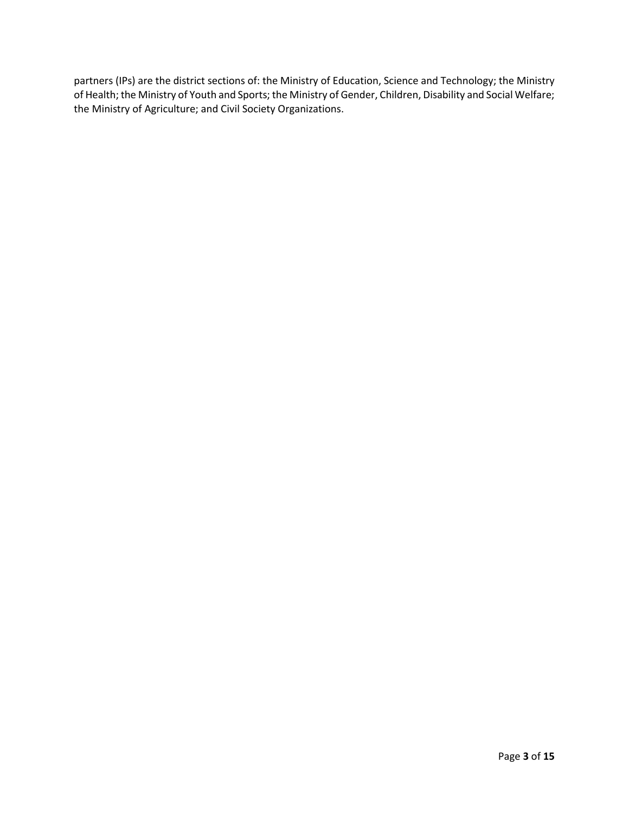partners (IPs) are the district sections of: the Ministry of Education, Science and Technology; the Ministry of Health; the Ministry of Youth and Sports; the Ministry of Gender, Children, Disability and Social Welfare; the Ministry of Agriculture; and Civil Society Organizations.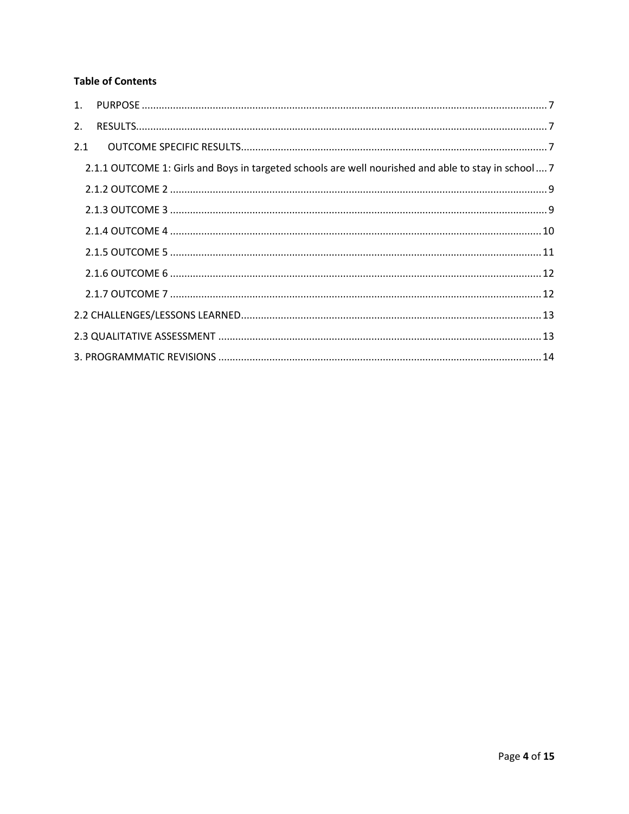# **Table of Contents**

| 2.  |                                                                                                     |  |
|-----|-----------------------------------------------------------------------------------------------------|--|
| 2.1 |                                                                                                     |  |
|     | 2.1.1 OUTCOME 1: Girls and Boys in targeted schools are well nourished and able to stay in school 7 |  |
|     |                                                                                                     |  |
|     |                                                                                                     |  |
|     |                                                                                                     |  |
|     |                                                                                                     |  |
|     |                                                                                                     |  |
|     |                                                                                                     |  |
|     |                                                                                                     |  |
|     |                                                                                                     |  |
|     |                                                                                                     |  |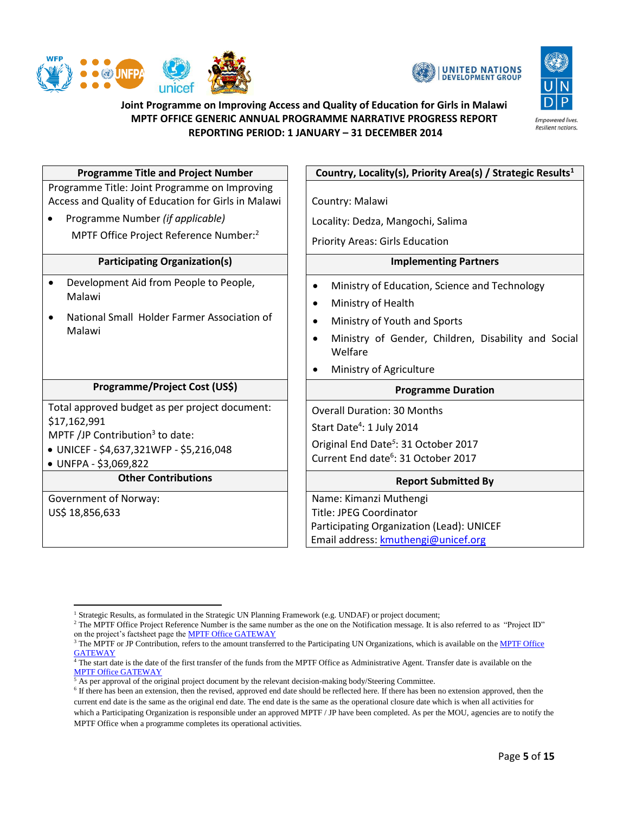





# **Joint Programme on Improving Access and Quality of Education for Girls in Malawi MPTF OFFICE GENERIC ANNUAL PROGRAMME NARRATIVE PROGRESS REPORT REPORTING PERIOD: 1 JANUARY – 31 DECEMBER 2014**

| <b>Programme Title and Project Number</b>                                                                                                                                                      | Country, Locality(s), Priority Area(s) / Strategic Results <sup>1</sup>                                                                                                                                                                                            |  |
|------------------------------------------------------------------------------------------------------------------------------------------------------------------------------------------------|--------------------------------------------------------------------------------------------------------------------------------------------------------------------------------------------------------------------------------------------------------------------|--|
| Programme Title: Joint Programme on Improving<br>Access and Quality of Education for Girls in Malawi<br>Programme Number (if applicable)<br>MPTF Office Project Reference Number: <sup>2</sup> | Country: Malawi<br>Locality: Dedza, Mangochi, Salima<br><b>Priority Areas: Girls Education</b>                                                                                                                                                                     |  |
| <b>Participating Organization(s)</b>                                                                                                                                                           | <b>Implementing Partners</b>                                                                                                                                                                                                                                       |  |
| Development Aid from People to People,<br>$\bullet$<br>Malawi<br>National Small Holder Farmer Association of<br>$\bullet$<br>Malawi                                                            | Ministry of Education, Science and Technology<br>$\bullet$<br>Ministry of Health<br>$\bullet$<br>Ministry of Youth and Sports<br>$\bullet$<br>Ministry of Gender, Children, Disability and Social<br>$\epsilon$<br>Welfare<br>Ministry of Agriculture<br>$\bullet$ |  |
| Programme/Project Cost (US\$)                                                                                                                                                                  | <b>Programme Duration</b>                                                                                                                                                                                                                                          |  |
| Total approved budget as per project document:<br>\$17,162,991<br>MPTF /JP Contribution <sup>3</sup> to date:<br>· UNICEF - \$4,637,321WFP - \$5,216,048<br>• UNFPA - \$3,069,822              | <b>Overall Duration: 30 Months</b><br>Start Date <sup>4</sup> : 1 July 2014<br>Original End Date <sup>5</sup> : 31 October 2017<br>Current End date <sup>6</sup> : 31 October 2017                                                                                 |  |
| <b>Other Contributions</b>                                                                                                                                                                     | <b>Report Submitted By</b>                                                                                                                                                                                                                                         |  |
| Government of Norway:<br>US\$ 18,856,633                                                                                                                                                       | Name: Kimanzi Muthengi<br><b>Title: JPEG Coordinator</b><br>Participating Organization (Lead): UNICEF<br>Email address: kmuthengi@unicef.org                                                                                                                       |  |

 $\overline{\phantom{a}}$ <sup>1</sup> Strategic Results, as formulated in the Strategic UN Planning Framework (e.g. UNDAF) or project document;

<sup>&</sup>lt;sup>2</sup> The MPTF Office Project Reference Number is the same number as the one on the Notification message. It is also referred to as "Project ID" on the project's factsheet page th[e MPTF Office GATEWAY](http://mdtf.undp.org/)

<sup>&</sup>lt;sup>3</sup> The MPTF or JP Contribution, refers to the amount transferred to the Participating UN Organizations, which is available on the MPTF Office **[GATEWAY](http://mdtf.undp.org/)** 

<sup>&</sup>lt;sup>4</sup> The start date is the date of the first transfer of the funds from the MPTF Office as Administrative Agent. Transfer date is available on the [MPTF Office GATEWAY](http://mdtf.undp.org/)

<sup>5</sup> As per approval of the original project document by the relevant decision-making body/Steering Committee.

<sup>&</sup>lt;sup>6</sup> If there has been an extension, then the revised, approved end date should be reflected here. If there has been no extension approved, then the current end date is the same as the original end date. The end date is the same as the operational closure date which is when all activities for which a Participating Organization is responsible under an approved MPTF / JP have been completed. As per the MOU, agencies are to notify the MPTF Office when a programme completes its operational activities.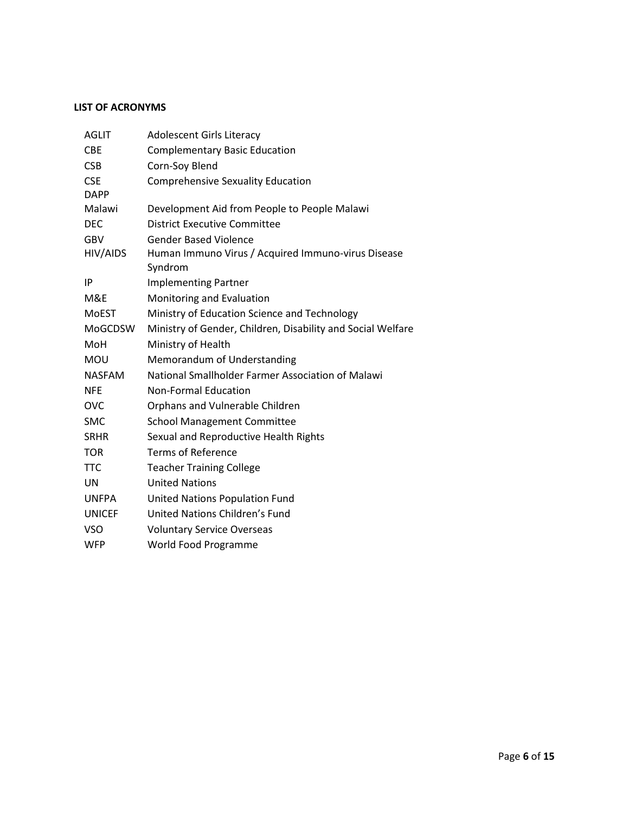## **LIST OF ACRONYMS**

| <b>AGLIT</b>  | <b>Adolescent Girls Literacy</b>                              |
|---------------|---------------------------------------------------------------|
| <b>CBE</b>    | <b>Complementary Basic Education</b>                          |
| <b>CSB</b>    | Corn-Soy Blend                                                |
| <b>CSE</b>    | <b>Comprehensive Sexuality Education</b>                      |
| <b>DAPP</b>   |                                                               |
| Malawi        | Development Aid from People to People Malawi                  |
| <b>DEC</b>    | <b>District Executive Committee</b>                           |
| <b>GBV</b>    | <b>Gender Based Violence</b>                                  |
| HIV/AIDS      | Human Immuno Virus / Acquired Immuno-virus Disease<br>Syndrom |
| IP            | <b>Implementing Partner</b>                                   |
| M&E           | Monitoring and Evaluation                                     |
| <b>MoEST</b>  | Ministry of Education Science and Technology                  |
| MoGCDSW       | Ministry of Gender, Children, Disability and Social Welfare   |
| MoH           | Ministry of Health                                            |
| MOU           | Memorandum of Understanding                                   |
| <b>NASFAM</b> | National Smallholder Farmer Association of Malawi             |
| <b>NFE</b>    | <b>Non-Formal Education</b>                                   |
| <b>OVC</b>    | Orphans and Vulnerable Children                               |
| <b>SMC</b>    | <b>School Management Committee</b>                            |
| <b>SRHR</b>   | Sexual and Reproductive Health Rights                         |
| <b>TOR</b>    | <b>Terms of Reference</b>                                     |
| <b>TTC</b>    | <b>Teacher Training College</b>                               |
| UN            | <b>United Nations</b>                                         |
| <b>UNFPA</b>  | United Nations Population Fund                                |
| <b>UNICEF</b> | United Nations Children's Fund                                |
| <b>VSO</b>    | <b>Voluntary Service Overseas</b>                             |
| <b>WFP</b>    | World Food Programme                                          |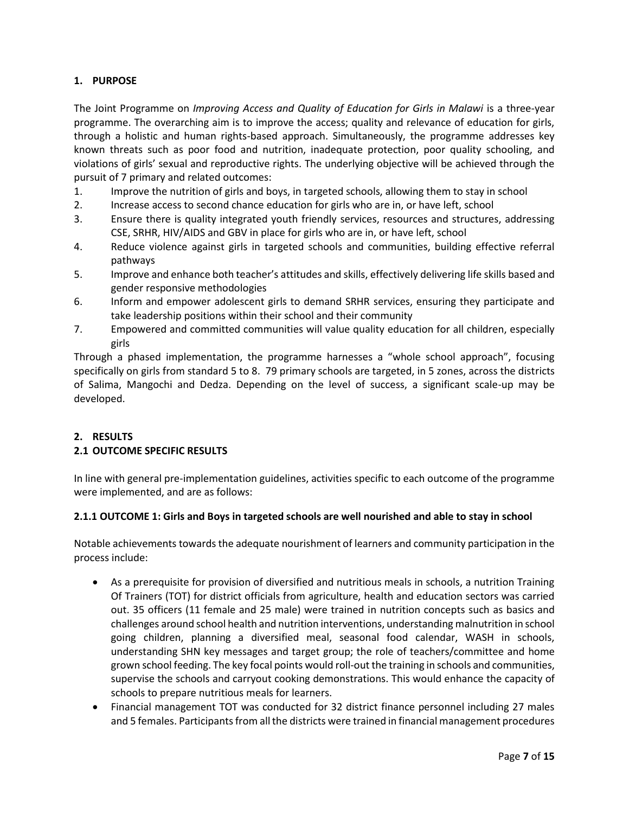# <span id="page-6-0"></span>**1. PURPOSE**

The Joint Programme on *Improving Access and Quality of Education for Girls in Malawi* is a three-year programme. The overarching aim is to improve the access; quality and relevance of education for girls, through a holistic and human rights-based approach. Simultaneously, the programme addresses key known threats such as poor food and nutrition, inadequate protection, poor quality schooling, and violations of girls' sexual and reproductive rights. The underlying objective will be achieved through the pursuit of 7 primary and related outcomes:

- 1. Improve the nutrition of girls and boys, in targeted schools, allowing them to stay in school
- 2. Increase access to second chance education for girls who are in, or have left, school
- 3. Ensure there is quality integrated youth friendly services, resources and structures, addressing CSE, SRHR, HIV/AIDS and GBV in place for girls who are in, or have left, school
- 4. Reduce violence against girls in targeted schools and communities, building effective referral pathways
- 5. Improve and enhance both teacher's attitudes and skills, effectively delivering life skills based and gender responsive methodologies
- 6. Inform and empower adolescent girls to demand SRHR services, ensuring they participate and take leadership positions within their school and their community
- 7. Empowered and committed communities will value quality education for all children, especially girls

Through a phased implementation, the programme harnesses a "whole school approach", focusing specifically on girls from standard 5 to 8. 79 primary schools are targeted, in 5 zones, across the districts of Salima, Mangochi and Dedza. Depending on the level of success, a significant scale-up may be developed.

# <span id="page-6-2"></span><span id="page-6-1"></span>**2. RESULTS 2.1 OUTCOME SPECIFIC RESULTS**

In line with general pre-implementation guidelines, activities specific to each outcome of the programme were implemented, and are as follows:

## <span id="page-6-3"></span>**2.1.1 OUTCOME 1: Girls and Boys in targeted schools are well nourished and able to stay in school**

Notable achievements towards the adequate nourishment of learners and community participation in the process include:

- As a prerequisite for provision of diversified and nutritious meals in schools, a nutrition Training Of Trainers (TOT) for district officials from agriculture, health and education sectors was carried out. 35 officers (11 female and 25 male) were trained in nutrition concepts such as basics and challenges around school health and nutrition interventions, understanding malnutrition in school going children, planning a diversified meal, seasonal food calendar, WASH in schools, understanding SHN key messages and target group; the role of teachers/committee and home grown school feeding. The key focal points would roll-out the training in schools and communities, supervise the schools and carryout cooking demonstrations. This would enhance the capacity of schools to prepare nutritious meals for learners.
- Financial management TOT was conducted for 32 district finance personnel including 27 males and 5 females. Participants from all the districts were trained in financial management procedures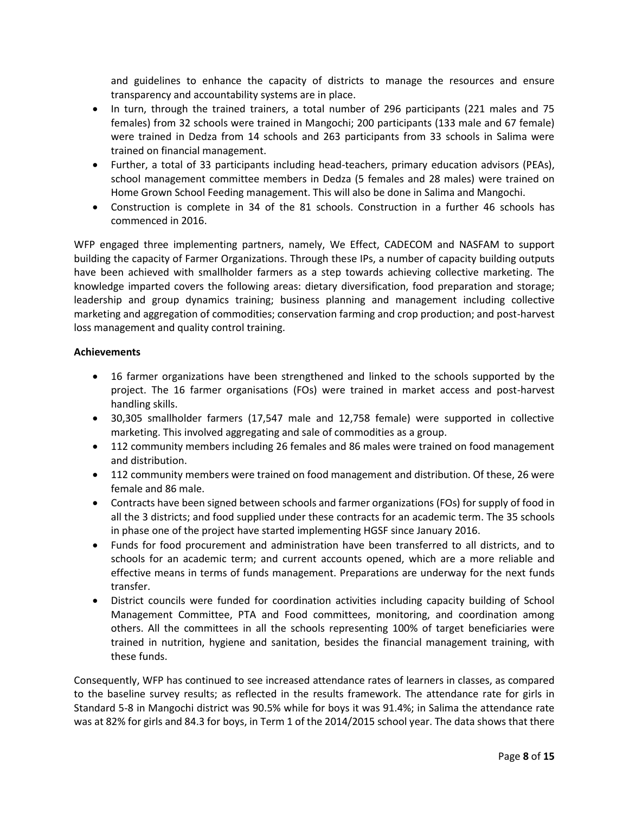and guidelines to enhance the capacity of districts to manage the resources and ensure transparency and accountability systems are in place.

- In turn, through the trained trainers, a total number of 296 participants (221 males and 75 females) from 32 schools were trained in Mangochi; 200 participants (133 male and 67 female) were trained in Dedza from 14 schools and 263 participants from 33 schools in Salima were trained on financial management.
- Further, a total of 33 participants including head-teachers, primary education advisors (PEAs), school management committee members in Dedza (5 females and 28 males) were trained on Home Grown School Feeding management. This will also be done in Salima and Mangochi.
- Construction is complete in 34 of the 81 schools. Construction in a further 46 schools has commenced in 2016.

WFP engaged three implementing partners, namely, We Effect, CADECOM and NASFAM to support building the capacity of Farmer Organizations. Through these IPs, a number of capacity building outputs have been achieved with smallholder farmers as a step towards achieving collective marketing. The knowledge imparted covers the following areas: dietary diversification, food preparation and storage; leadership and group dynamics training; business planning and management including collective marketing and aggregation of commodities; conservation farming and crop production; and post-harvest loss management and quality control training.

### **Achievements**

- 16 farmer organizations have been strengthened and linked to the schools supported by the project. The 16 farmer organisations (FOs) were trained in market access and post-harvest handling skills.
- 30,305 smallholder farmers (17,547 male and 12,758 female) were supported in collective marketing. This involved aggregating and sale of commodities as a group.
- 112 community members including 26 females and 86 males were trained on food management and distribution.
- 112 community members were trained on food management and distribution. Of these, 26 were female and 86 male.
- Contracts have been signed between schools and farmer organizations (FOs) for supply of food in all the 3 districts; and food supplied under these contracts for an academic term. The 35 schools in phase one of the project have started implementing HGSF since January 2016.
- Funds for food procurement and administration have been transferred to all districts, and to schools for an academic term; and current accounts opened, which are a more reliable and effective means in terms of funds management. Preparations are underway for the next funds transfer.
- District councils were funded for coordination activities including capacity building of School Management Committee, PTA and Food committees, monitoring, and coordination among others. All the committees in all the schools representing 100% of target beneficiaries were trained in nutrition, hygiene and sanitation, besides the financial management training, with these funds.

Consequently, WFP has continued to see increased attendance rates of learners in classes, as compared to the baseline survey results; as reflected in the results framework. The attendance rate for girls in Standard 5-8 in Mangochi district was 90.5% while for boys it was 91.4%; in Salima the attendance rate was at 82% for girls and 84.3 for boys, in Term 1 of the 2014/2015 school year. The data shows that there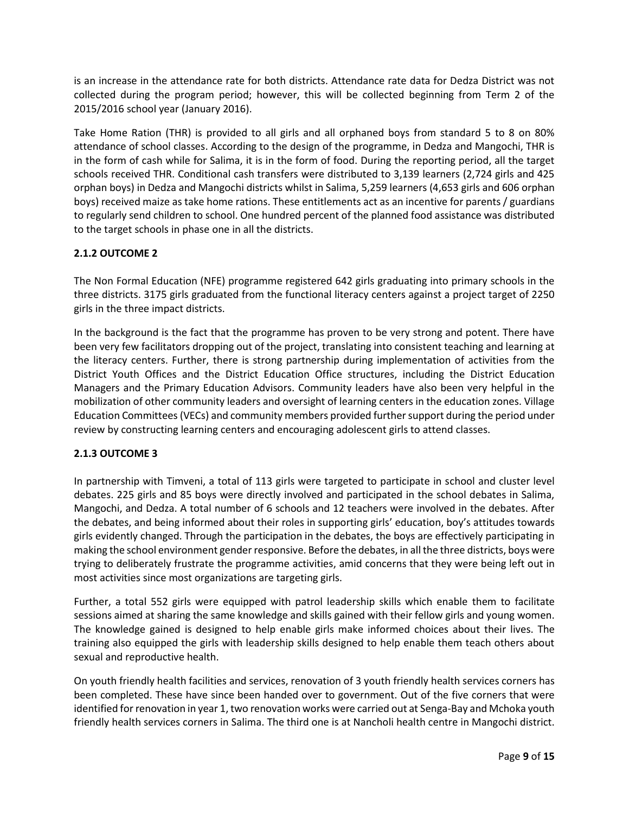is an increase in the attendance rate for both districts. Attendance rate data for Dedza District was not collected during the program period; however, this will be collected beginning from Term 2 of the 2015/2016 school year (January 2016).

Take Home Ration (THR) is provided to all girls and all orphaned boys from standard 5 to 8 on 80% attendance of school classes. According to the design of the programme, in Dedza and Mangochi, THR is in the form of cash while for Salima, it is in the form of food. During the reporting period, all the target schools received THR. Conditional cash transfers were distributed to 3,139 learners (2,724 girls and 425 orphan boys) in Dedza and Mangochi districts whilst in Salima, 5,259 learners (4,653 girls and 606 orphan boys) received maize as take home rations. These entitlements act as an incentive for parents / guardians to regularly send children to school. One hundred percent of the planned food assistance was distributed to the target schools in phase one in all the districts.

# <span id="page-8-0"></span>**2.1.2 OUTCOME 2**

The Non Formal Education (NFE) programme registered 642 girls graduating into primary schools in the three districts. 3175 girls graduated from the functional literacy centers against a project target of 2250 girls in the three impact districts.

In the background is the fact that the programme has proven to be very strong and potent. There have been very few facilitators dropping out of the project, translating into consistent teaching and learning at the literacy centers. Further, there is strong partnership during implementation of activities from the District Youth Offices and the District Education Office structures, including the District Education Managers and the Primary Education Advisors. Community leaders have also been very helpful in the mobilization of other community leaders and oversight of learning centers in the education zones. Village Education Committees (VECs) and community members provided furthersupport during the period under review by constructing learning centers and encouraging adolescent girls to attend classes.

## <span id="page-8-1"></span>**2.1.3 OUTCOME 3**

In partnership with Timveni, a total of 113 girls were targeted to participate in school and cluster level debates. 225 girls and 85 boys were directly involved and participated in the school debates in Salima, Mangochi, and Dedza. A total number of 6 schools and 12 teachers were involved in the debates. After the debates, and being informed about their roles in supporting girls' education, boy's attitudes towards girls evidently changed. Through the participation in the debates, the boys are effectively participating in making the school environment gender responsive. Before the debates, in all the three districts, boys were trying to deliberately frustrate the programme activities, amid concerns that they were being left out in most activities since most organizations are targeting girls.

Further, a total 552 girls were equipped with patrol leadership skills which enable them to facilitate sessions aimed at sharing the same knowledge and skills gained with their fellow girls and young women. The knowledge gained is designed to help enable girls make informed choices about their lives. The training also equipped the girls with leadership skills designed to help enable them teach others about sexual and reproductive health.

On youth friendly health facilities and services, renovation of 3 youth friendly health services corners has been completed. These have since been handed over to government. Out of the five corners that were identified for renovation in year 1, two renovation works were carried out at Senga-Bay and Mchoka youth friendly health services corners in Salima. The third one is at Nancholi health centre in Mangochi district.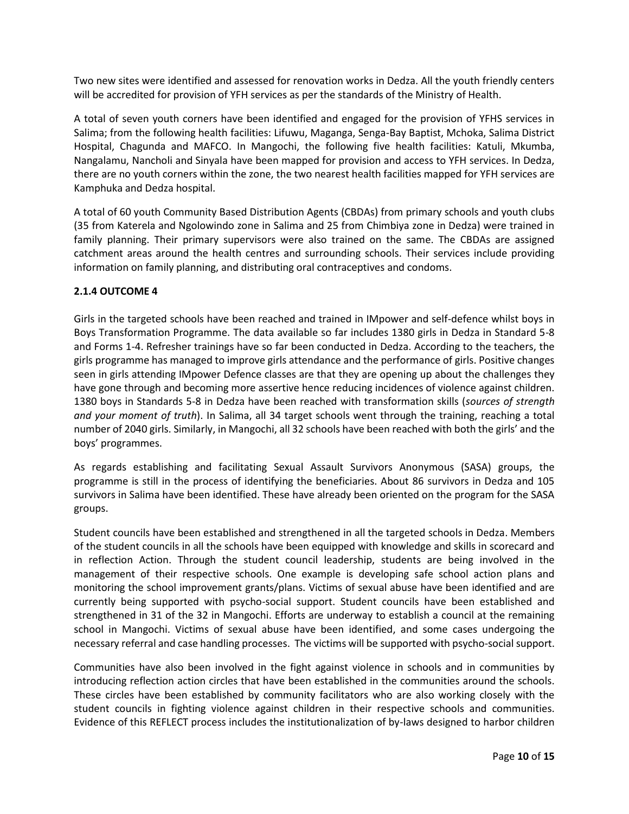Two new sites were identified and assessed for renovation works in Dedza. All the youth friendly centers will be accredited for provision of YFH services as per the standards of the Ministry of Health.

A total of seven youth corners have been identified and engaged for the provision of YFHS services in Salima; from the following health facilities: Lifuwu, Maganga, Senga-Bay Baptist, Mchoka, Salima District Hospital, Chagunda and MAFCO. In Mangochi, the following five health facilities: Katuli, Mkumba, Nangalamu, Nancholi and Sinyala have been mapped for provision and access to YFH services. In Dedza, there are no youth corners within the zone, the two nearest health facilities mapped for YFH services are Kamphuka and Dedza hospital.

A total of 60 youth Community Based Distribution Agents (CBDAs) from primary schools and youth clubs (35 from Katerela and Ngolowindo zone in Salima and 25 from Chimbiya zone in Dedza) were trained in family planning. Their primary supervisors were also trained on the same. The CBDAs are assigned catchment areas around the health centres and surrounding schools. Their services include providing information on family planning, and distributing oral contraceptives and condoms.

## <span id="page-9-0"></span>**2.1.4 OUTCOME 4**

Girls in the targeted schools have been reached and trained in IMpower and self-defence whilst boys in Boys Transformation Programme. The data available so far includes 1380 girls in Dedza in Standard 5-8 and Forms 1-4. Refresher trainings have so far been conducted in Dedza. According to the teachers, the girls programme has managed to improve girls attendance and the performance of girls. Positive changes seen in girls attending IMpower Defence classes are that they are opening up about the challenges they have gone through and becoming more assertive hence reducing incidences of violence against children. 1380 boys in Standards 5-8 in Dedza have been reached with transformation skills (*sources of strength and your moment of truth*). In Salima, all 34 target schools went through the training, reaching a total number of 2040 girls. Similarly, in Mangochi, all 32 schools have been reached with both the girls' and the boys' programmes.

As regards establishing and facilitating Sexual Assault Survivors Anonymous (SASA) groups, the programme is still in the process of identifying the beneficiaries. About 86 survivors in Dedza and 105 survivors in Salima have been identified. These have already been oriented on the program for the SASA groups.

Student councils have been established and strengthened in all the targeted schools in Dedza. Members of the student councils in all the schools have been equipped with knowledge and skills in scorecard and in reflection Action. Through the student council leadership, students are being involved in the management of their respective schools. One example is developing safe school action plans and monitoring the school improvement grants/plans. Victims of sexual abuse have been identified and are currently being supported with psycho-social support. Student councils have been established and strengthened in 31 of the 32 in Mangochi. Efforts are underway to establish a council at the remaining school in Mangochi. Victims of sexual abuse have been identified, and some cases undergoing the necessary referral and case handling processes. The victims will be supported with psycho-social support.

Communities have also been involved in the fight against violence in schools and in communities by introducing reflection action circles that have been established in the communities around the schools. These circles have been established by community facilitators who are also working closely with the student councils in fighting violence against children in their respective schools and communities. Evidence of this REFLECT process includes the institutionalization of by-laws designed to harbor children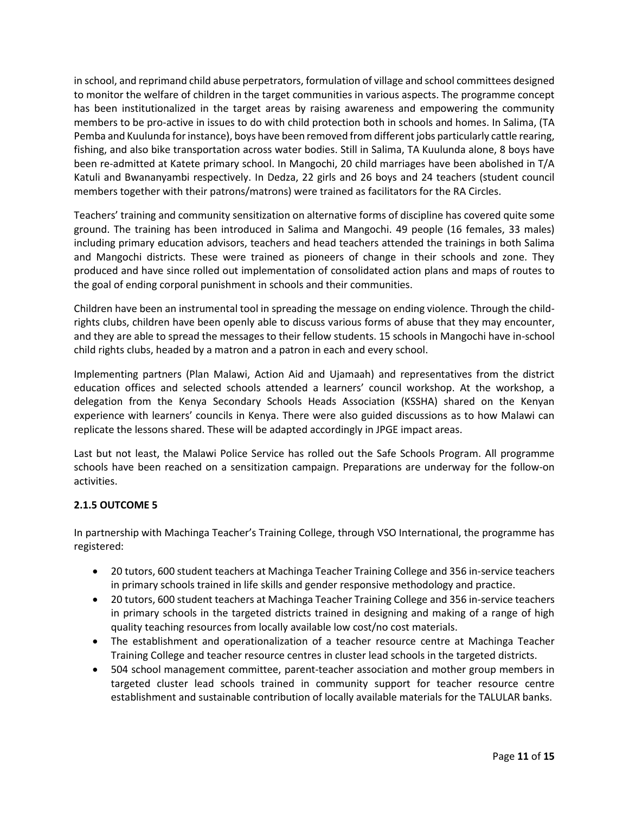in school, and reprimand child abuse perpetrators, formulation of village and school committees designed to monitor the welfare of children in the target communities in various aspects. The programme concept has been institutionalized in the target areas by raising awareness and empowering the community members to be pro-active in issues to do with child protection both in schools and homes. In Salima, (TA Pemba and Kuulunda for instance), boys have been removed from different jobs particularly cattle rearing, fishing, and also bike transportation across water bodies. Still in Salima, TA Kuulunda alone, 8 boys have been re-admitted at Katete primary school. In Mangochi, 20 child marriages have been abolished in T/A Katuli and Bwananyambi respectively. In Dedza, 22 girls and 26 boys and 24 teachers (student council members together with their patrons/matrons) were trained as facilitators for the RA Circles.

Teachers' training and community sensitization on alternative forms of discipline has covered quite some ground. The training has been introduced in Salima and Mangochi. 49 people (16 females, 33 males) including primary education advisors, teachers and head teachers attended the trainings in both Salima and Mangochi districts. These were trained as pioneers of change in their schools and zone. They produced and have since rolled out implementation of consolidated action plans and maps of routes to the goal of ending corporal punishment in schools and their communities.

Children have been an instrumental tool in spreading the message on ending violence. Through the childrights clubs, children have been openly able to discuss various forms of abuse that they may encounter, and they are able to spread the messages to their fellow students. 15 schools in Mangochi have in-school child rights clubs, headed by a matron and a patron in each and every school.

Implementing partners (Plan Malawi, Action Aid and Ujamaah) and representatives from the district education offices and selected schools attended a learners' council workshop. At the workshop, a delegation from the Kenya Secondary Schools Heads Association (KSSHA) shared on the Kenyan experience with learners' councils in Kenya. There were also guided discussions as to how Malawi can replicate the lessons shared. These will be adapted accordingly in JPGE impact areas.

Last but not least, the Malawi Police Service has rolled out the Safe Schools Program. All programme schools have been reached on a sensitization campaign. Preparations are underway for the follow-on activities.

# <span id="page-10-0"></span>**2.1.5 OUTCOME 5**

In partnership with Machinga Teacher's Training College, through VSO International, the programme has registered:

- 20 tutors, 600 student teachers at Machinga Teacher Training College and 356 in-service teachers in primary schools trained in life skills and gender responsive methodology and practice.
- 20 tutors, 600 student teachers at Machinga Teacher Training College and 356 in-service teachers in primary schools in the targeted districts trained in designing and making of a range of high quality teaching resources from locally available low cost/no cost materials.
- The establishment and operationalization of a teacher resource centre at Machinga Teacher Training College and teacher resource centres in cluster lead schools in the targeted districts.
- 504 school management committee, parent-teacher association and mother group members in targeted cluster lead schools trained in community support for teacher resource centre establishment and sustainable contribution of locally available materials for the TALULAR banks.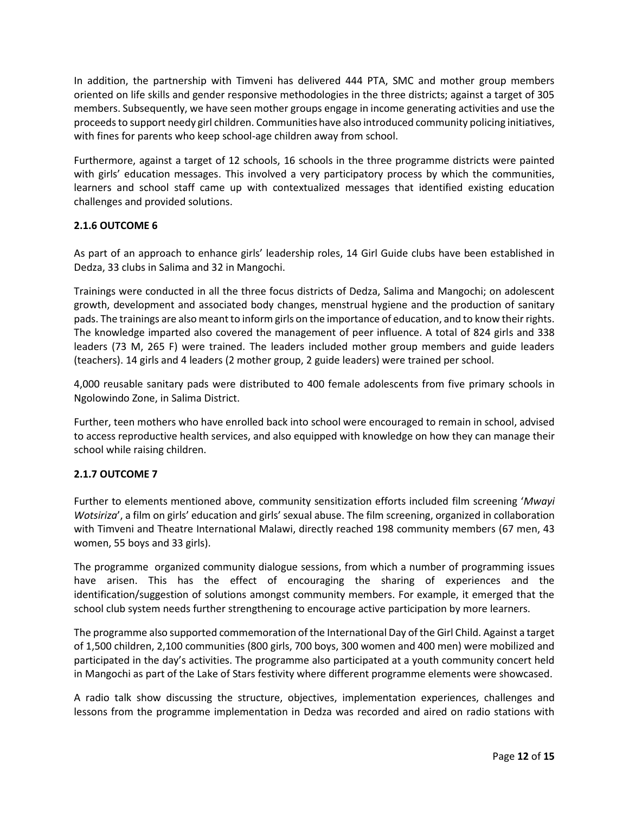In addition, the partnership with Timveni has delivered 444 PTA, SMC and mother group members oriented on life skills and gender responsive methodologies in the three districts; against a target of 305 members. Subsequently, we have seen mother groups engage in income generating activities and use the proceeds to support needy girl children. Communities have also introduced community policing initiatives, with fines for parents who keep school-age children away from school.

Furthermore, against a target of 12 schools, 16 schools in the three programme districts were painted with girls' education messages. This involved a very participatory process by which the communities, learners and school staff came up with contextualized messages that identified existing education challenges and provided solutions.

## <span id="page-11-0"></span>**2.1.6 OUTCOME 6**

As part of an approach to enhance girls' leadership roles, 14 Girl Guide clubs have been established in Dedza, 33 clubs in Salima and 32 in Mangochi.

Trainings were conducted in all the three focus districts of Dedza, Salima and Mangochi; on adolescent growth, development and associated body changes, menstrual hygiene and the production of sanitary pads. The trainings are also meant to inform girls on the importance of education, and to know their rights. The knowledge imparted also covered the management of peer influence. A total of 824 girls and 338 leaders (73 M, 265 F) were trained. The leaders included mother group members and guide leaders (teachers). 14 girls and 4 leaders (2 mother group, 2 guide leaders) were trained per school.

4,000 reusable sanitary pads were distributed to 400 female adolescents from five primary schools in Ngolowindo Zone, in Salima District.

Further, teen mothers who have enrolled back into school were encouraged to remain in school, advised to access reproductive health services, and also equipped with knowledge on how they can manage their school while raising children.

## <span id="page-11-1"></span>**2.1.7 OUTCOME 7**

Further to elements mentioned above, community sensitization efforts included film screening '*Mwayi Wotsiriza*', a film on girls' education and girls' sexual abuse. The film screening, organized in collaboration with Timveni and Theatre International Malawi, directly reached 198 community members (67 men, 43 women, 55 boys and 33 girls).

The programme organized community dialogue sessions, from which a number of programming issues have arisen. This has the effect of encouraging the sharing of experiences and the identification/suggestion of solutions amongst community members. For example, it emerged that the school club system needs further strengthening to encourage active participation by more learners.

The programme also supported commemoration of the International Day of the Girl Child. Against a target of 1,500 children, 2,100 communities (800 girls, 700 boys, 300 women and 400 men) were mobilized and participated in the day's activities. The programme also participated at a youth community concert held in Mangochi as part of the Lake of Stars festivity where different programme elements were showcased.

A radio talk show discussing the structure, objectives, implementation experiences, challenges and lessons from the programme implementation in Dedza was recorded and aired on radio stations with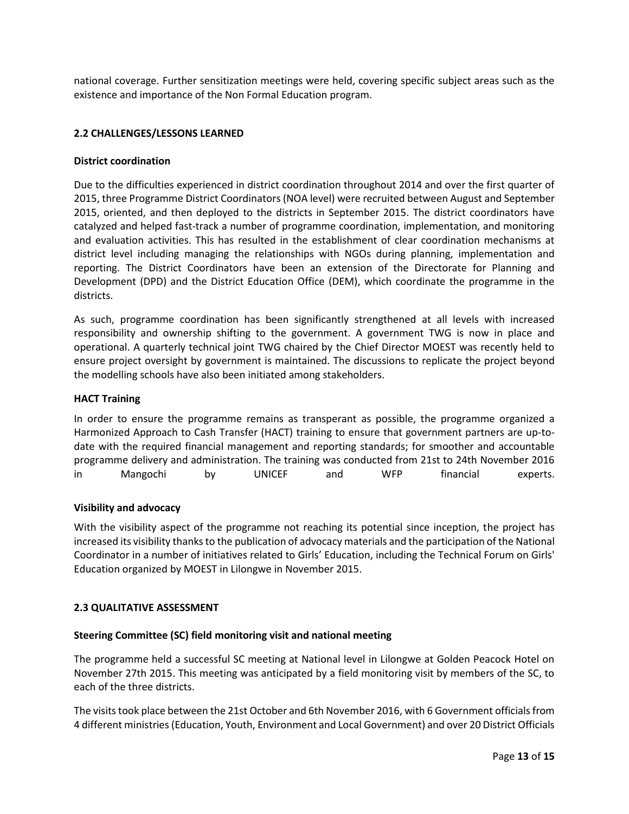national coverage. Further sensitization meetings were held, covering specific subject areas such as the existence and importance of the Non Formal Education program.

### <span id="page-12-0"></span>**2.2 CHALLENGES/LESSONS LEARNED**

#### **District coordination**

Due to the difficulties experienced in district coordination throughout 2014 and over the first quarter of 2015, three Programme District Coordinators (NOA level) were recruited between August and September 2015, oriented, and then deployed to the districts in September 2015. The district coordinators have catalyzed and helped fast-track a number of programme coordination, implementation, and monitoring and evaluation activities. This has resulted in the establishment of clear coordination mechanisms at district level including managing the relationships with NGOs during planning, implementation and reporting. The District Coordinators have been an extension of the Directorate for Planning and Development (DPD) and the District Education Office (DEM), which coordinate the programme in the districts.

As such, programme coordination has been significantly strengthened at all levels with increased responsibility and ownership shifting to the government. A government TWG is now in place and operational. A quarterly technical joint TWG chaired by the Chief Director MOEST was recently held to ensure project oversight by government is maintained. The discussions to replicate the project beyond the modelling schools have also been initiated among stakeholders.

### **HACT Training**

In order to ensure the programme remains as transperant as possible, the programme organized a Harmonized Approach to Cash Transfer (HACT) training to ensure that government partners are up-todate with the required financial management and reporting standards; for smoother and accountable programme delivery and administration. The training was conducted from 21st to 24th November 2016 in Mangochi by UNICEF and WFP financial experts.

### **Visibility and advocacy**

With the visibility aspect of the programme not reaching its potential since inception, the project has increased its visibility thanks to the publication of advocacy materials and the participation of the National Coordinator in a number of initiatives related to Girls' Education, including the Technical Forum on Girls' Education organized by MOEST in Lilongwe in November 2015.

### <span id="page-12-1"></span>**2.3 QUALITATIVE ASSESSMENT**

### **Steering Committee (SC) field monitoring visit and national meeting**

The programme held a successful SC meeting at National level in Lilongwe at Golden Peacock Hotel on November 27th 2015. This meeting was anticipated by a field monitoring visit by members of the SC, to each of the three districts.

The visits took place between the 21st October and 6th November 2016, with 6 Government officials from 4 different ministries (Education, Youth, Environment and Local Government) and over 20 District Officials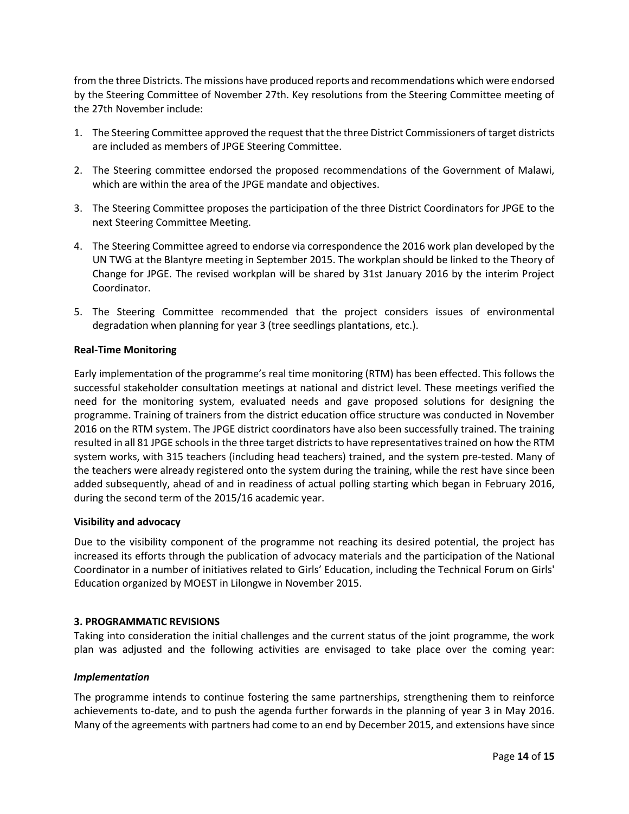from the three Districts. The missions have produced reports and recommendations which were endorsed by the Steering Committee of November 27th. Key resolutions from the Steering Committee meeting of the 27th November include:

- 1. The Steering Committee approved the request that the three District Commissioners of target districts are included as members of JPGE Steering Committee.
- 2. The Steering committee endorsed the proposed recommendations of the Government of Malawi, which are within the area of the JPGE mandate and objectives.
- 3. The Steering Committee proposes the participation of the three District Coordinators for JPGE to the next Steering Committee Meeting.
- 4. The Steering Committee agreed to endorse via correspondence the 2016 work plan developed by the UN TWG at the Blantyre meeting in September 2015. The workplan should be linked to the Theory of Change for JPGE. The revised workplan will be shared by 31st January 2016 by the interim Project Coordinator.
- 5. The Steering Committee recommended that the project considers issues of environmental degradation when planning for year 3 (tree seedlings plantations, etc.).

### **Real-Time Monitoring**

Early implementation of the programme's real time monitoring (RTM) has been effected. This follows the successful stakeholder consultation meetings at national and district level. These meetings verified the need for the monitoring system, evaluated needs and gave proposed solutions for designing the programme. Training of trainers from the district education office structure was conducted in November 2016 on the RTM system. The JPGE district coordinators have also been successfully trained. The training resulted in all 81 JPGE schools in the three target districts to have representatives trained on how the RTM system works, with 315 teachers (including head teachers) trained, and the system pre-tested. Many of the teachers were already registered onto the system during the training, while the rest have since been added subsequently, ahead of and in readiness of actual polling starting which began in February 2016, during the second term of the 2015/16 academic year.

### **Visibility and advocacy**

Due to the visibility component of the programme not reaching its desired potential, the project has increased its efforts through the publication of advocacy materials and the participation of the National Coordinator in a number of initiatives related to Girls' Education, including the Technical Forum on Girls' Education organized by MOEST in Lilongwe in November 2015.

### <span id="page-13-0"></span>**3. PROGRAMMATIC REVISIONS**

Taking into consideration the initial challenges and the current status of the joint programme, the work plan was adjusted and the following activities are envisaged to take place over the coming year:

### *Implementation*

The programme intends to continue fostering the same partnerships, strengthening them to reinforce achievements to-date, and to push the agenda further forwards in the planning of year 3 in May 2016. Many of the agreements with partners had come to an end by December 2015, and extensions have since